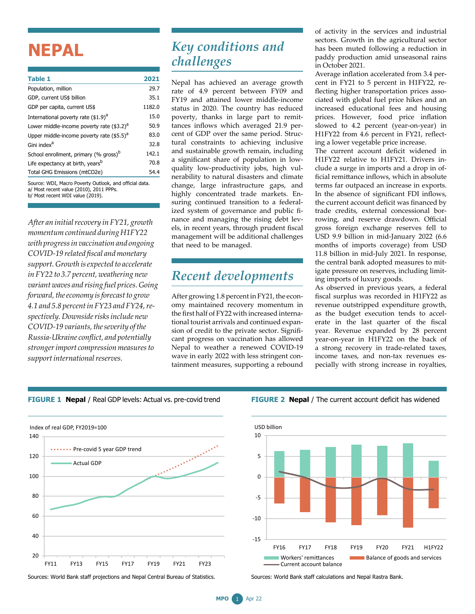# **NEPAL**

| Table 1                                                                             | 2021   |
|-------------------------------------------------------------------------------------|--------|
| Population, million                                                                 | 29.7   |
| GDP, current US\$ billion                                                           | 35.1   |
| GDP per capita, current US\$                                                        | 1182.0 |
| International poverty rate (\$1.9) <sup>a</sup>                                     | 15.0   |
| Lower middle-income poverty rate $(3.2)^a$                                          | 50.9   |
| Upper middle-income poverty rate $($ \$5.5) $d$                                     | 83.0   |
| Gini index <sup>a</sup>                                                             | 32.8   |
| School enrollment, primary (% gross) <sup>b</sup>                                   | 142.1  |
| Life expectancy at birth, years <sup>b</sup>                                        | 70.8   |
| Total GHG Emissions (mtCO2e)                                                        | 54.4   |
| Source: WDI, Macro Poverty Outlook, and official data.<br>$1.11 - 1.2 - 1.11 - 1.2$ |        |

Most recent value (2010), 2011 PPPs b/ Most recent WDI value (2019).

*After an initialrecovery in FY21, growth momentumcontinued duringH1FY22 with progressin vaccination and ongoing COVID-19 related fiscal andmonetary support. Growth isexpected to accelerate in FY22 to 3.7 percent, weathering new variant waves and rising fuel prices. Going forward, the economy is forecast to grow 4.1 and 5.8 percentin FY23 and FY24,respectively.Downsiderisksinclude new COVID-19 variants,theseverity ofthe Russia-Ukraine conflict, and potentially strongerimport compressionmeasuresto*  $support$  international reserves.

## *Key conditions and challenges*

Nepal has achieved an average growth rate of 4.9 percent between FY09 and FY19 and attained lower middle-income status in 2020. The country has reduced poverty, thanks in large part to remittances inflows which averaged 21.9 percent of GDP over the same period. Structural constraints to achieving inclusive and sustainable growth remain, including a significant share of population in lowquality low-productivity jobs, high vulnerability to natural disasters and climate change, large infrastructure gaps, and highly concentrated trade markets. Ensuring continued transition to a federalized system of governance and public finance and managing the rising debt levels, in recent years, through prudent fiscal management will be additional challenges that need to be managed.

### *Recent developments*

After growing 1.8 percent in FY21, the economy maintained recovery momentum in the first half of FY22 with increased international tourist arrivals and continued expansion of credit to the private sector. Significant progress on vaccination has allowed Nepal to weather a renewed COVID-19 wave in early 2022 with less stringent containment measures, supporting a rebound of activity in the services and industrial sectors. Growth in the agricultural sector has been muted following a reduction in paddy production amid unseasonal rains in October 2021.

Average inflation accelerated from 3.4 percent in FY21 to 5 percent in H1FY22, reflecting higher transportation prices associated with global fuel price hikes and an increased educational fees and housing prices. However, food price inflation slowed to 4.2 percent (year-on-year) in H1FY22 from 4.6 percent in FY21, reflecting a lower vegetable price increase.

The current account deficit widened in H1FY22 relative to H1FY21. Drivers include a surge in imports and a drop in official remittance inflows, which in absolute terms far outpaced an increase in exports. In the absence of significant FDI inflows, the current account deficit was financed by trade credits, external concessional borrowing, and reserve drawdown. Official gross foreign exchange reserves fell to USD 9.9 billion in mid-January 2022 (6.6 months of imports coverage) from USD 11.8 billion in mid-July 2021. In response, the central bank adopted measures to mitigate pressure on reserves, including limiting imports of luxury goods.

As observed in previous years, a federal fiscal surplus was recorded in H1FY22 as revenue outstripped expenditure growth, as the budget execution tends to accelerate in the last quarter of the fiscal year. Revenue expanded by 28 percent year-on-year in H1FY22 on the back of a strong recovery in trade-related taxes, income taxes, and non-tax revenues especially with strong increase in royalties,





**FIGURE 2 Nepal** / The current account deficit has widened



Sources: World Bank staff projections and Nepal Central Bureau of Statistics.

Sources: World Bank staff calculations and Nepal Rastra Bank.